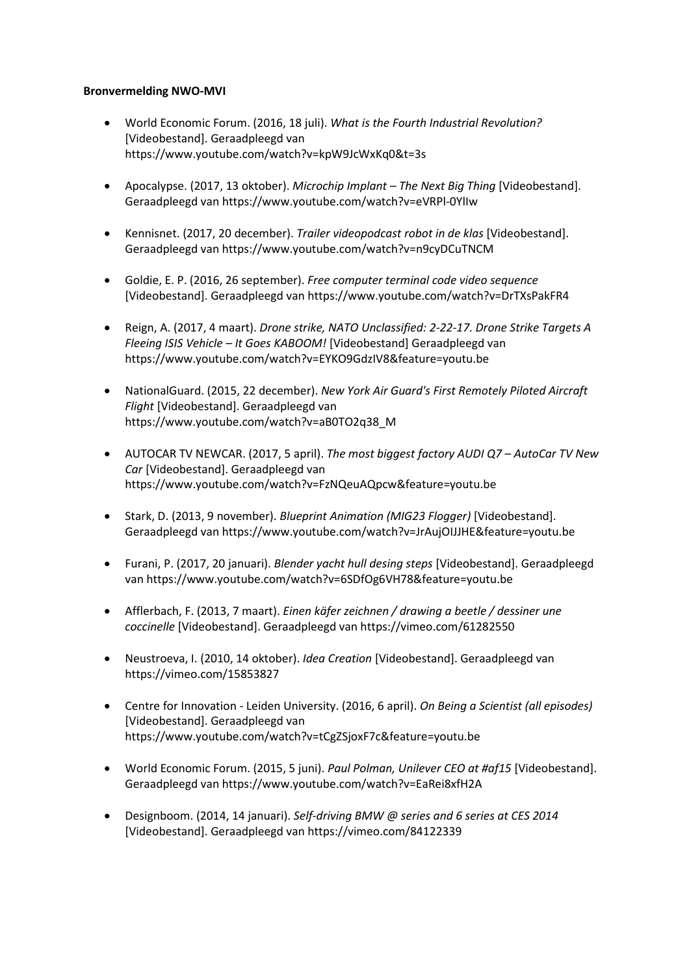## **Bronvermelding NWO-MVI**

- World Economic Forum. (2016, 18 juli). *What is the Fourth Industrial Revolution?* [Videobestand]. Geraadpleegd van <https://www.youtube.com/watch?v=kpW9JcWxKq0&t=3s>
- Apocalypse. (2017, 13 oktober). *Microchip Implant – The Next Big Thing* [Videobestand]. Geraadpleegd van https://www.youtube.com/watch?v=eVRPl-0YlIw
- Kennisnet. (2017, 20 december). *Trailer videopodcast robot in de klas* [Videobestand]. Geraadpleegd van <https://www.youtube.com/watch?v=n9cyDCuTNCM>
- Goldie, E. P. (2016, 26 september). *Free computer terminal code video sequence* [Videobestand]. Geraadpleegd va[n https://www.youtube.com/watch?v=DrTXsPakFR4](https://www.youtube.com/watch?v=DrTXsPakFR4)
- Reign, A. (2017, 4 maart). *Drone strike, NATO Unclassified: 2-22-17. Drone Strike Targets A Fleeing ISIS Vehicle – It Goes KABOOM!* [Videobestand] Geraadpleegd van <https://www.youtube.com/watch?v=EYKO9GdzIV8&feature=youtu.be>
- NationalGuard. (2015, 22 december). *New York Air Guard's First Remotely Piloted Aircraft Flight* [Videobestand]. Geraadpleegd van [https://www.youtube.com/watch?v=aB0TO2q38\\_M](https://www.youtube.com/watch?v=aB0TO2q38_M)
- AUTOCAR TV NEWCAR. (2017, 5 april). *The most biggest factory AUDI Q7 – AutoCar TV New Car* [Videobestand]. Geraadpleegd van <https://www.youtube.com/watch?v=FzNQeuAQpcw&feature=youtu.be>
- Stark, D. (2013, 9 november). *Blueprint Animation (MIG23 Flogger)* [Videobestand]. Geraadpleegd van<https://www.youtube.com/watch?v=JrAujOIJJHE&feature=youtu.be>
- Furani, P. (2017, 20 januari). *Blender yacht hull desing steps* [Videobestand]. Geraadpleegd va[n https://www.youtube.com/watch?v=6SDfOg6VH78&feature=youtu.be](https://www.youtube.com/watch?v=6SDfOg6VH78&feature=youtu.be)
- Afflerbach, F. (2013, 7 maart). *Einen käfer zeichnen / drawing a beetle / dessiner une coccinelle* [Videobestand]. Geraadpleegd van<https://vimeo.com/61282550>
- Neustroeva, I. (2010, 14 oktober). *Idea Creation* [Videobestand]. Geraadpleegd van <https://vimeo.com/15853827>
- Centre for Innovation Leiden University. (2016, 6 april). *On Being a Scientist (all episodes)* [Videobestand]. Geraadpleegd van <https://www.youtube.com/watch?v=tCgZSjoxF7c&feature=youtu.be>
- World Economic Forum. (2015, 5 juni). *Paul Polman, Unilever CEO at #af15* [Videobestand]. Geraadpleegd van <https://www.youtube.com/watch?v=EaRei8xfH2A>
- Designboom. (2014, 14 januari). *Self-driving BMW @ series and 6 series at CES 2014* [Videobestand]. Geraadpleegd va[n https://vimeo.com/84122339](https://vimeo.com/84122339)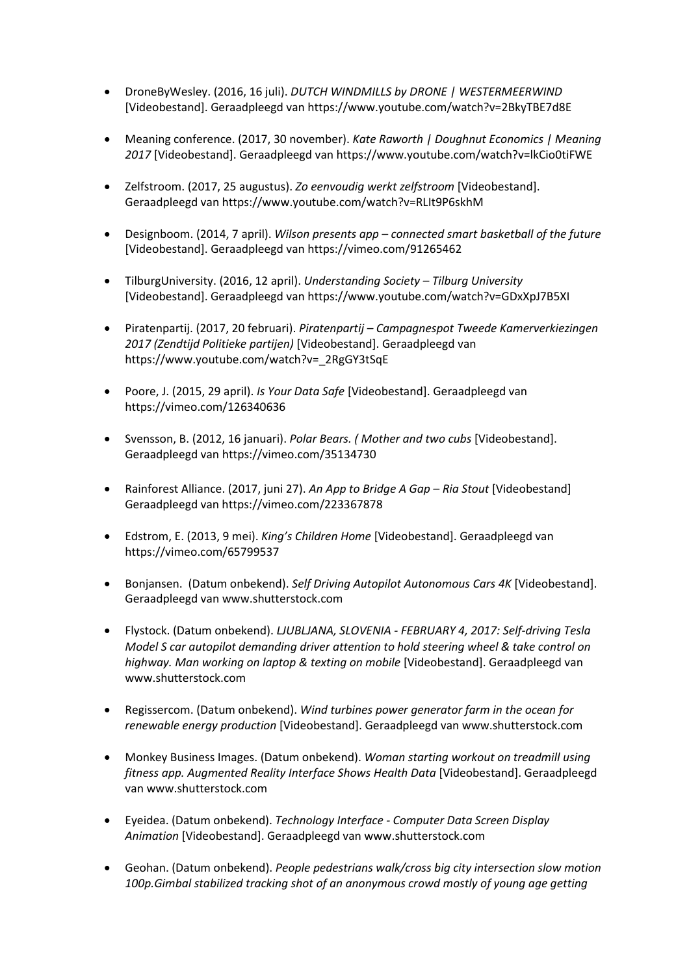- DroneByWesley. (2016, 16 juli). *DUTCH WINDMILLS by DRONE | WESTERMEERWIND* [Videobestand]. Geraadpleegd va[n https://www.youtube.com/watch?v=2BkyTBE7d8E](https://www.youtube.com/watch?v=2BkyTBE7d8E)
- Meaning conference. (2017, 30 november). *Kate Raworth | Doughnut Economics | Meaning 2017* [Videobestand]. Geraadpleegd va[n https://www.youtube.com/watch?v=lkCio0tiFWE](https://www.youtube.com/watch?v=lkCio0tiFWE)
- Zelfstroom. (2017, 25 augustus). *Zo eenvoudig werkt zelfstroom* [Videobestand]. Geraadpleegd van<https://www.youtube.com/watch?v=RLIt9P6skhM>
- Designboom. (2014, 7 april). *Wilson presents app – connected smart basketball of the future* [Videobestand]. Geraadpleegd va[n https://vimeo.com/91265462](https://vimeo.com/91265462)
- TilburgUniversity. (2016, 12 april). *Understanding Society – Tilburg University* [Videobestand]. Geraadpleegd va[n https://www.youtube.com/watch?v=GDxXpJ7B5XI](https://www.youtube.com/watch?v=GDxXpJ7B5XI)
- Piratenpartij. (2017, 20 februari). *Piratenpartij – Campagnespot Tweede Kamerverkiezingen 2017 (Zendtijd Politieke partijen)* [Videobestand]. Geraadpleegd van [https://www.youtube.com/watch?v=\\_2RgGY3tSqE](https://www.youtube.com/watch?v=_2RgGY3tSqE)
- Poore, J. (2015, 29 april). *Is Your Data Safe* [Videobestand]. Geraadpleegd van https://vimeo.com/126340636
- Svensson, B. (2012, 16 januari). *Polar Bears. ( Mother and two cubs* [Videobestand]. Geraadpleegd van https://vimeo.com/35134730
- Rainforest Alliance. (2017, juni 27). *An App to Bridge A Gap – Ria Stout* [Videobestand] Geraadpleegd van<https://vimeo.com/223367878>
- Edstrom, E. (2013, 9 mei). *King's Children Home* [Videobestand]. Geraadpleegd van <https://vimeo.com/65799537>
- Bonjansen. (Datum onbekend). *Self Driving Autopilot Autonomous Cars 4K* [Videobestand]. Geraadpleegd van [www.shutterstock.com](http://www.shutterstock.com/)
- Flystock. (Datum onbekend). *LJUBLJANA, SLOVENIA - FEBRUARY 4, 2017: Self-driving Tesla Model S car autopilot demanding driver attention to hold steering wheel & take control on highway. Man working on laptop & texting on mobile* [Videobestand]. Geraadpleegd van [www.shutterstock.com](http://www.shutterstock.com/)
- Regissercom. (Datum onbekend). *Wind turbines power generator farm in the ocean for renewable energy production* [Videobestand]. Geraadpleegd van [www.shutterstock.com](http://www.shutterstock.com/)
- Monkey Business Images. (Datum onbekend). *Woman starting workout on treadmill using fitness app. Augmented Reality Interface Shows Health Data* [Videobestand]. Geraadpleegd va[n www.shutterstock.com](http://www.shutterstock.com/)
- Eyeidea. (Datum onbekend). *Technology Interface - Computer Data Screen Display Animation* [Videobestand]. Geraadpleegd va[n www.shutterstock.com](http://www.shutterstock.com/)
- Geohan. (Datum onbekend). *People pedestrians walk/cross big city intersection slow motion 100p.Gimbal stabilized tracking shot of an anonymous crowd mostly of young age getting*